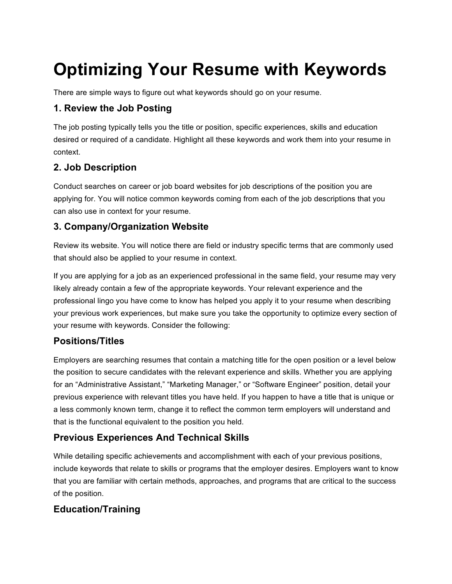# **Optimizing Your Resume with Keywords**

There are simple ways to figure out what keywords should go on your resume.

#### **1. Review the Job Posting**

The job posting typically tells you the title or position, specific experiences, skills and education desired or required of a candidate. Highlight all these keywords and work them into your resume in context.

## **2. Job Description**

Conduct searches on career or job board websites for job descriptions of the position you are applying for. You will notice common keywords coming from each of the job descriptions that you can also use in context for your resume.

### **3. Company/Organization Website**

Review its website. You will notice there are field or industry specific terms that are commonly used that should also be applied to your resume in context.

If you are applying for a job as an experienced professional in the same field, your resume may very likely already contain a few of the appropriate keywords. Your relevant experience and the professional lingo you have come to know has helped you apply it to your resume when describing your previous work experiences, but make sure you take the opportunity to optimize every section of your resume with keywords. Consider the following:

#### **Positions/Titles**

Employers are searching resumes that contain a matching title for the open position or a level below the position to secure candidates with the relevant experience and skills. Whether you are applying for an "Administrative Assistant," "Marketing Manager," or "Software Engineer" position, detail your previous experience with relevant titles you have held. If you happen to have a title that is unique or a less commonly known term, change it to reflect the common term employers will understand and that is the functional equivalent to the position you held.

## **Previous Experiences And Technical Skills**

While detailing specific achievements and accomplishment with each of your previous positions, include keywords that relate to skills or programs that the employer desires. Employers want to know that you are familiar with certain methods, approaches, and programs that are critical to the success of the position.

## **Education/Training**